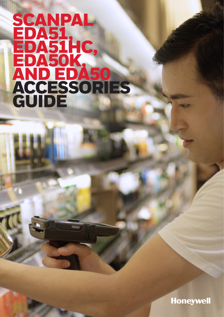# SCANPAL EDA51, EDA51HC, EDA50K, AND EDA50 ACCESSORIES GUIDE

**Honeywell**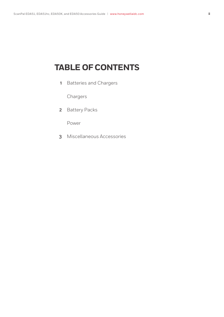## **TABLE OF CONTENTS**

**1** [Batteries and Chargers](#page-2-0)

[Chargers](#page-2-0)

**2** [Battery Packs](#page-3-0)

[Power](#page-3-0)

**3** [Miscellaneous Accessories](#page-4-0)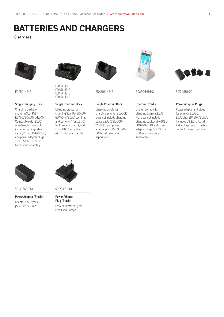### <span id="page-2-0"></span>**BATTERIES AND CHARGERS**

#### **Chargers**



EDA50-HB-R

#### **Single Charging Dock**

Charging cradle for charging ScanPal™ EDA50/EDA50hc/EDA51. Compatible with EDA51 scan handle. Does not include charging cable; cable (CBL-500-120-S00) and power adapter plugs (50130570-001) must be ordered separately.



EDA51-HB-1 EDA51-HB-2 EDA51-HB-3 EDA51-HB-5

#### **Single Charging Dock**

Charging cradle for charging ScanPal EDA50/ EDA50hc/EDA51 terminal and battery (-1 for U.S., -2 for Europe, -3 for UK, and -5 for AU). Compatible with EDA51 scan handle.



#### **Single Charging Dock**

Charging cradle for charging ScanPal EDA50K. Does not include charging cable; cable (CBL-500- 120-S00) and power adapter plugs (50130570- 001) must be ordered separately.



#### **Charging Cradle**

Charging cradle for charging ScanPal EDA51 HC. Does not include charging cable; cable (CBL-500-120-S00) and power adapter plugs (50130570- 001) must be ordered separately.



EDA50K-HB-R EDA50-HB-HC 50130570-001

#### **Power Adapter, Plugs**

Power adapter and plugs for ScanPal EDA50/ EDA50hc/EDA50K/EDA51; includes US, EU, UK, and India plugs (part of the box content for each terminal).



50130569-001 50122318-001

**Power Adapter (Brazil)**

Adapter, USB Type A jack, 5 V/2 A, Brazil.



**Power Adapter Plug (Brazil)** Power adapter plug for Brazil and Europe.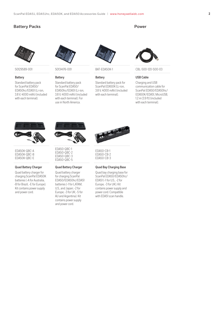#### <span id="page-3-0"></span>**Battery Packs**



#### **Battery**

Standard battery pack for ScanPal EDA50/ EDA50hc/EDA51 (Li-ion, 3.8 V, 4000 mAh) (included with each terminal).



50129589-001 50134176-001 BAT-EDA50K-1

#### **Battery**

Standard battery pack for ScanPal EDA50/ EDA50hc/EDA51 (Li-ion, 3.8 V, 4000 mAh) (included with each terminal). For use in North America.



#### **Battery**

Standard battery pack for ScanPal EDA50K (Li-ion, 3.8 V, 4000 mAh) (included with each terminal).



CBL-500-120-S00-03

#### **USB Cable**

Charging and USB communication cable for ScanPal EDA50/EDA50hc/ EDA50K/EDA51, MicroUSB, 1.2 m (3.9 ft) (included with each terminal).



EDA50K-QBC-A EDA50K-QBC-B EDA50K-QBC-E

#### **Quad Battery Charger**

Quad battery charger for charging ScanPal EDA50K batteries (-A for Australia, -B for Brazil, -E for Europe). Kit contains power supply and power cord.



EDA50-QBC-1 EDA50-QBC-2 EDA50-QBC-3 EDA50-QBC-5

#### **Quad Battery Charger**

Quad battery charger for charging ScanPal EDA50/EDA50hc/EDA51 batteries (-1 for LATAM, U.S., and Japan; -2 for Europe; -3 for UK; -5 for AU and Argentina). Kit contains power supply and power cord.



EDA50-CB-1 EDA50-CB-2 EDA50-CB-3

#### **Quad Bay Charging Base**

Quad bay charging base for ScanPal EDA50/EDA50hc/ EDA51 (-1 for U.S., -2 for Europe, -3 for UK). Kit contains power supply and power cord. Compatible with EDA51 scan handle.

#### **Power**